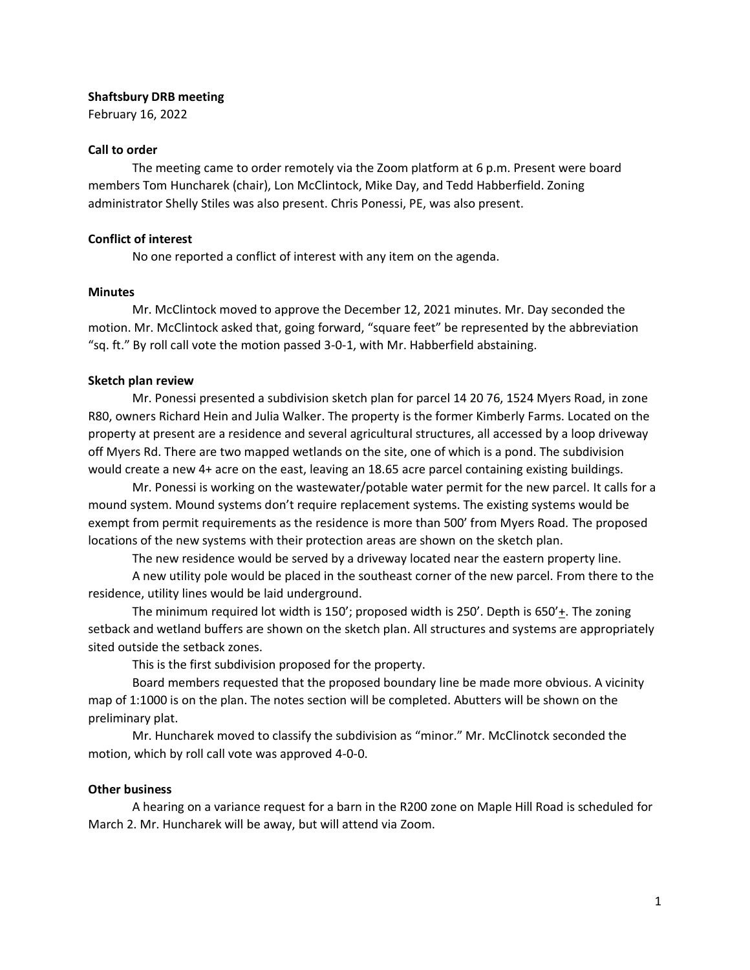## **Shaftsbury DRB meeting**

February 16, 2022

# **Call to order**

The meeting came to order remotely via the Zoom platform at 6 p.m. Present were board members Tom Huncharek (chair), Lon McClintock, Mike Day, and Tedd Habberfield. Zoning administrator Shelly Stiles was also present. Chris Ponessi, PE, was also present.

## **Conflict of interest**

No one reported a conflict of interest with any item on the agenda.

## **Minutes**

Mr. McClintock moved to approve the December 12, 2021 minutes. Mr. Day seconded the motion. Mr. McClintock asked that, going forward, "square feet" be represented by the abbreviation "sq. ft." By roll call vote the motion passed 3-0-1, with Mr. Habberfield abstaining.

## **Sketch plan review**

Mr. Ponessi presented a subdivision sketch plan for parcel 14 20 76, 1524 Myers Road, in zone R80, owners Richard Hein and Julia Walker. The property is the former Kimberly Farms. Located on the property at present are a residence and several agricultural structures, all accessed by a loop driveway off Myers Rd. There are two mapped wetlands on the site, one of which is a pond. The subdivision would create a new 4+ acre on the east, leaving an 18.65 acre parcel containing existing buildings.

Mr. Ponessi is working on the wastewater/potable water permit for the new parcel. It calls for a mound system. Mound systems don't require replacement systems. The existing systems would be exempt from permit requirements as the residence is more than 500' from Myers Road. The proposed locations of the new systems with their protection areas are shown on the sketch plan.

The new residence would be served by a driveway located near the eastern property line.

A new utility pole would be placed in the southeast corner of the new parcel. From there to the residence, utility lines would be laid underground.

The minimum required lot width is 150'; proposed width is 250'. Depth is 650' $\pm$ . The zoning setback and wetland buffers are shown on the sketch plan. All structures and systems are appropriately sited outside the setback zones.

This is the first subdivision proposed for the property.

Board members requested that the proposed boundary line be made more obvious. A vicinity map of 1:1000 is on the plan. The notes section will be completed. Abutters will be shown on the preliminary plat.

Mr. Huncharek moved to classify the subdivision as "minor." Mr. McClinotck seconded the motion, which by roll call vote was approved 4-0-0.

# **Other business**

A hearing on a variance request for a barn in the R200 zone on Maple Hill Road is scheduled for March 2. Mr. Huncharek will be away, but will attend via Zoom.